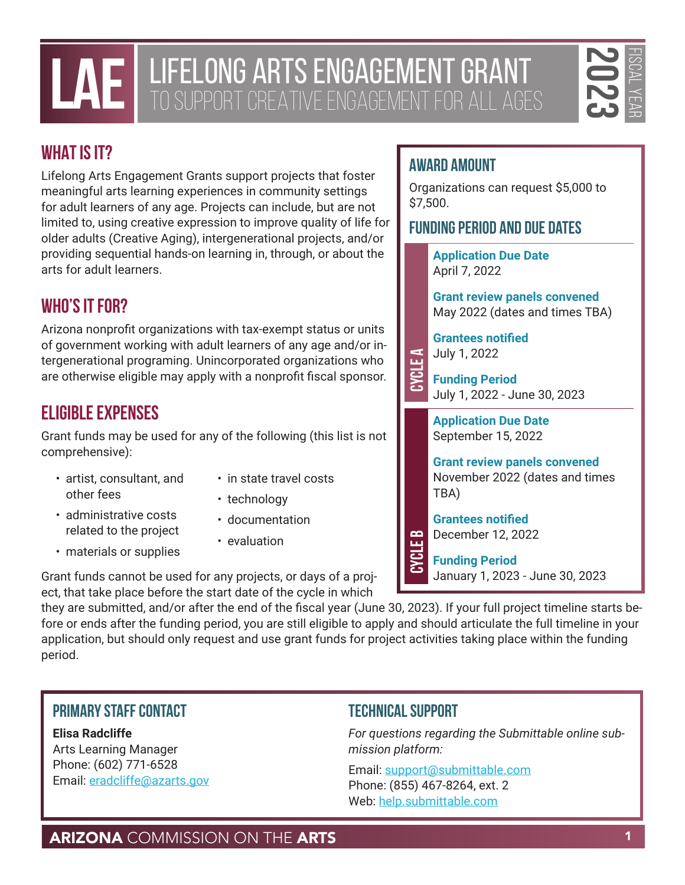## LAE LIFELONG ARTS ENGAGEMENT GRANT TO SUPPORT CREATIVE ENGAGEMENT FOR ALL AGES



## **WHAT IS IT?**

**EXAMPLE PERFORM CONTROVER AND CONTROVER AND COMMISSION ON THE ARTS 1 2023**<br>
HAT IS IT? SUPPORT CUFF AT THE FISCAL YEAR ON THE CONTROVER AND CONTROVER AND CONTROVER AND CONTROVER AND CONTROVER CONTROVER AND CONTROVER AND C Lifelong Arts Engagement Grants support projects that foster meaningful arts learning experiences in community settings for adult learners of any age. Projects can include, but are not limited to, using creative expression to improve quality of life for older adults (Creative Aging), intergenerational projects, and/or providing sequential hands-on learning in, through, or about the arts for adult learners.

### **WHO'S IT FOR?**

Arizona nonprofit organizations with tax-exempt status or units of government working with adult learners of any age and/or intergenerational programing. Unincorporated organizations who are otherwise eligible may apply with a nonprofit fiscal sponsor.

## **ELIGIBLE EXPENSES**

Grant funds may be used for any of the following (this list is not comprehensive):

- artist, consultant, and other fees
- in state travel costs
- technology
- administrative costs related to the project
- materials or supplies
- 
- documentation
- evaluation

Grant funds cannot be used for any projects, or days of a project, that take place before the start date of the cycle in which

they are submitted, and/or after the end of the fiscal year (June 30, 2023). If your full project timeline starts before or ends after the funding period, you are still eligible to apply and should articulate the full timeline in your application, but should only request and use grant funds for project activities taking place within the funding period. Web:<br>
Submission<br>
USB Submittable.com<br>
USB Submittable.com<br>
USB Submittable.com<br>
USB Submittable.com<br>
USB Submittable.com<br>
USB Submittable.com<br>
USB Submittable.com<br>
USB Submittable.com<br>
USB Submittable.com<br>
USB Submittable

#### **Primary Staff Contact**

**Elisa Radcliffe** Arts Learning Manager Phone: (602) 771-6528 Email: [eradcliffe@azarts.gov](mailto:eradcliffe@azarts.gov)

#### **Technical Support**

*For questions regarding the Submittable online submission platform:* 

Email: [support@submittable.com](mailto:support@submittable.com) Phone: (855) 467-8264, ext. 2

### **AWARD AMOUNT**

Organizations can request \$5,000 to \$7,500.

#### **Funding Period and Due Dates**

**Application Due Date** April 7, 2022

**Grant review panels convened** May 2022 (dates and times TBA)

**Grantees notified** July 1, 2022

**Funding Period** July 1, 2022 - June 30, 2023

**Application Due Date** September 15, 2022

**Grant review panels convened** November 2022 (dates and times TBA)

**Grantees notified** December 12, 2022

**Funding Period** January 1, 2023 - June 30, 2023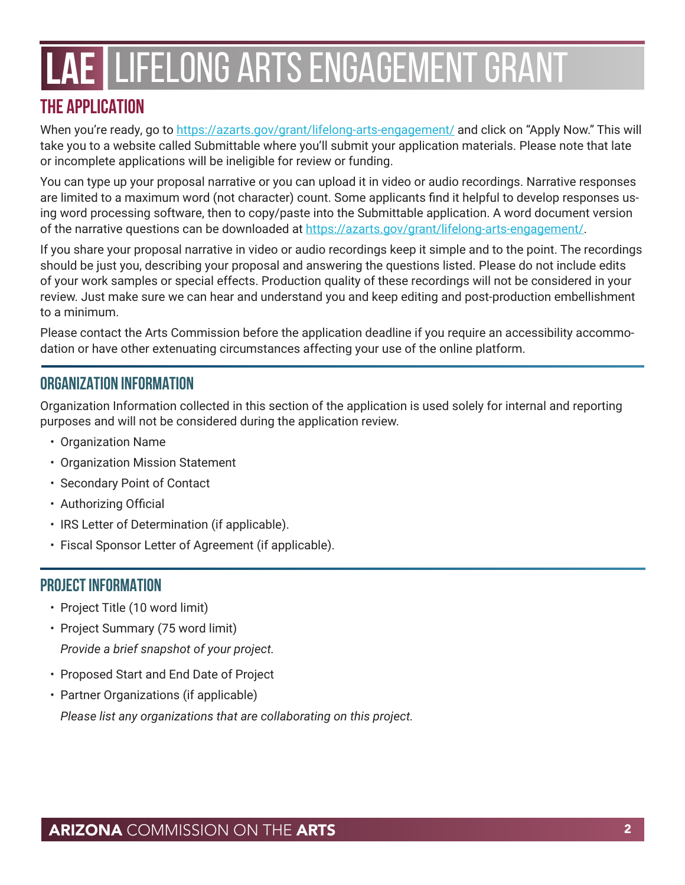## **THE APPLICATION**

When you're ready, go to <https://azarts.gov/grant/lifelong-arts-engagement/> and click on "Apply Now." This will take you to a website called Submittable where you'll submit your application materials. Please note that late or incomplete applications will be ineligible for review or funding.

You can type up your proposal narrative or you can upload it in video or audio recordings. Narrative responses are limited to a maximum word (not character) count. Some applicants find it helpful to develop responses using word processing software, then to copy/paste into the Submittable application. A word document version of the narrative questions can be downloaded at [https://azarts.gov/grant/lifelong-arts-engagement/.](https://azarts.gov/grant/lifelong-arts-engagement/)

If you share your proposal narrative in video or audio recordings keep it simple and to the point. The recordings should be just you, describing your proposal and answering the questions listed. Please do not include edits of your work samples or special effects. Production quality of these recordings will not be considered in your review. Just make sure we can hear and understand you and keep editing and post-production embellishment to a minimum.

Please contact the Arts Commission before the application deadline if you require an accessibility accommodation or have other extenuating circumstances affecting your use of the online platform.

### **ORGANIZATION INFORMATION**

Organization Information collected in this section of the application is used solely for internal and reporting purposes and will not be considered during the application review.

- Organization Name
- Organization Mission Statement
- Secondary Point of Contact
- Authorizing Official
- IRS Letter of Determination (if applicable).
- Fiscal Sponsor Letter of Agreement (if applicable).

#### **PROJECT INFORMATION**

- Project Title (10 word limit)
- Project Summary (75 word limit) *Provide a brief snapshot of your project.*
- Proposed Start and End Date of Project
- Partner Organizations (if applicable) *Please list any organizations that are collaborating on this project.*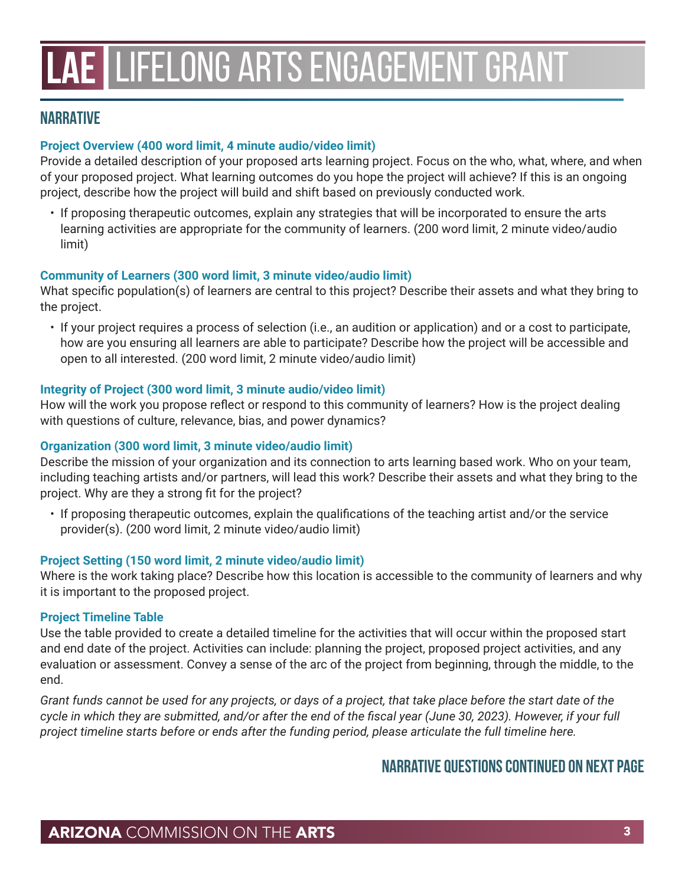#### **NARRATIVE**

#### **Project Overview (400 word limit, 4 minute audio/video limit)**

Provide a detailed description of your proposed arts learning project. Focus on the who, what, where, and when of your proposed project. What learning outcomes do you hope the project will achieve? If this is an ongoing project, describe how the project will build and shift based on previously conducted work.

• If proposing therapeutic outcomes, explain any strategies that will be incorporated to ensure the arts learning activities are appropriate for the community of learners. (200 word limit, 2 minute video/audio limit)

#### **Community of Learners (300 word limit, 3 minute video/audio limit)**

What specific population(s) of learners are central to this project? Describe their assets and what they bring to the project.

• If your project requires a process of selection (i.e., an audition or application) and or a cost to participate, how are you ensuring all learners are able to participate? Describe how the project will be accessible and open to all interested. (200 word limit, 2 minute video/audio limit)

#### **Integrity of Project (300 word limit, 3 minute audio/video limit)**

How will the work you propose reflect or respond to this community of learners? How is the project dealing with questions of culture, relevance, bias, and power dynamics?

#### **Organization (300 word limit, 3 minute video/audio limit)**

Describe the mission of your organization and its connection to arts learning based work. Who on your team, including teaching artists and/or partners, will lead this work? Describe their assets and what they bring to the project. Why are they a strong fit for the project?

• If proposing therapeutic outcomes, explain the qualifications of the teaching artist and/or the service provider(s). (200 word limit, 2 minute video/audio limit)

#### **Project Setting (150 word limit, 2 minute video/audio limit)**

Where is the work taking place? Describe how this location is accessible to the community of learners and why it is important to the proposed project.

#### **Project Timeline Table**

Use the table provided to create a detailed timeline for the activities that will occur within the proposed start and end date of the project. Activities can include: planning the project, proposed project activities, and any evaluation or assessment. Convey a sense of the arc of the project from beginning, through the middle, to the end.

*Grant funds cannot be used for any projects, or days of a project, that take place before the start date of the cycle in which they are submitted, and/or after the end of the fiscal year (June 30, 2023). However, if your full project timeline starts before or ends after the funding period, please articulate the full timeline here.* 

#### **Narrative Questions continued on next page**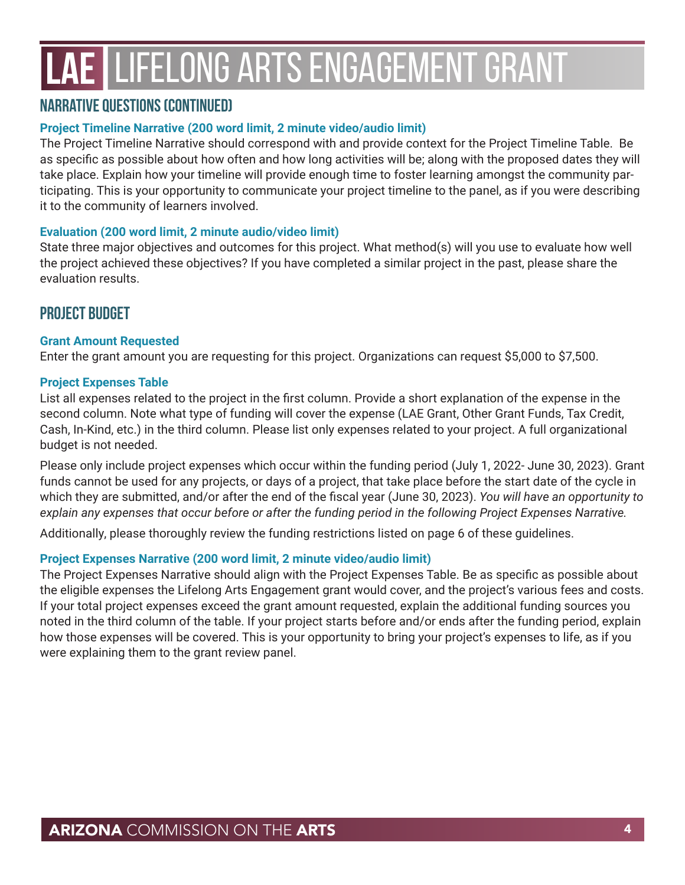#### **Narrative Questions (continued)**

#### **Project Timeline Narrative (200 word limit, 2 minute video/audio limit)**

The Project Timeline Narrative should correspond with and provide context for the Project Timeline Table. Be as specific as possible about how often and how long activities will be; along with the proposed dates they will take place. Explain how your timeline will provide enough time to foster learning amongst the community participating. This is your opportunity to communicate your project timeline to the panel, as if you were describing it to the community of learners involved.

#### **Evaluation (200 word limit, 2 minute audio/video limit)**

State three major objectives and outcomes for this project. What method(s) will you use to evaluate how well the project achieved these objectives? If you have completed a similar project in the past, please share the evaluation results.

#### **PROJECT BUDGET**

#### **Grant Amount Requested**

Enter the grant amount you are requesting for this project. Organizations can request \$5,000 to \$7,500.

#### **Project Expenses Table**

List all expenses related to the project in the first column. Provide a short explanation of the expense in the second column. Note what type of funding will cover the expense (LAE Grant, Other Grant Funds, Tax Credit, Cash, In-Kind, etc.) in the third column. Please list only expenses related to your project. A full organizational budget is not needed.

Please only include project expenses which occur within the funding period (July 1, 2022- June 30, 2023). Grant funds cannot be used for any projects, or days of a project, that take place before the start date of the cycle in which they are submitted, and/or after the end of the fiscal year (June 30, 2023). *You will have an opportunity to explain any expenses that occur before or after the funding period in the following Project Expenses Narrative.*

Additionally, please thoroughly review the funding restrictions listed on page 6 of these guidelines.

#### **Project Expenses Narrative (200 word limit, 2 minute video/audio limit)**

The Project Expenses Narrative should align with the Project Expenses Table. Be as specific as possible about the eligible expenses the Lifelong Arts Engagement grant would cover, and the project's various fees and costs. If your total project expenses exceed the grant amount requested, explain the additional funding sources you noted in the third column of the table. If your project starts before and/or ends after the funding period, explain how those expenses will be covered. This is your opportunity to bring your project's expenses to life, as if you were explaining them to the grant review panel.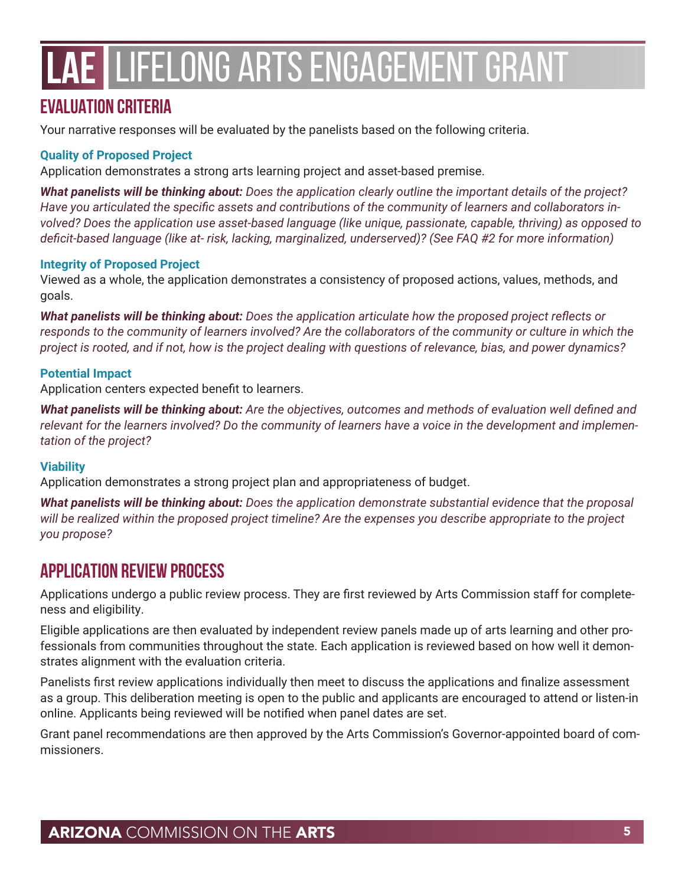### **EVALUATION CRITERIA**

Your narrative responses will be evaluated by the panelists based on the following criteria.

#### **Quality of Proposed Project**

Application demonstrates a strong arts learning project and asset-based premise.

*What panelists will be thinking about: Does the application clearly outline the important details of the project? Have you articulated the specific assets and contributions of the community of learners and collaborators involved? Does the application use asset-based language (like unique, passionate, capable, thriving) as opposed to deficit-based language (like at- risk, lacking, marginalized, underserved)? (See FAQ #2 for more information)*

#### **Integrity of Proposed Project**

Viewed as a whole, the application demonstrates a consistency of proposed actions, values, methods, and goals.

*What panelists will be thinking about: Does the application articulate how the proposed project reflects or*  responds to the community of learners involved? Are the collaborators of the community or culture in which the *project is rooted, and if not, how is the project dealing with questions of relevance, bias, and power dynamics?*

#### **Potential Impact**

Application centers expected benefit to learners.

*What panelists will be thinking about: Are the objectives, outcomes and methods of evaluation well defined and relevant for the learners involved? Do the community of learners have a voice in the development and implementation of the project?*

#### **Viability**

Application demonstrates a strong project plan and appropriateness of budget.

*What panelists will be thinking about: Does the application demonstrate substantial evidence that the proposal will be realized within the proposed project timeline? Are the expenses you describe appropriate to the project you propose?*

### **APPLICATION REVIEW PROCESS**

Applications undergo a public review process. They are first reviewed by Arts Commission staff for completeness and eligibility.

Eligible applications are then evaluated by independent review panels made up of arts learning and other professionals from communities throughout the state. Each application is reviewed based on how well it demonstrates alignment with the evaluation criteria.

Panelists first review applications individually then meet to discuss the applications and finalize assessment as a group. This deliberation meeting is open to the public and applicants are encouraged to attend or listen-in online. Applicants being reviewed will be notified when panel dates are set.

Grant panel recommendations are then approved by the Arts Commission's Governor-appointed board of commissioners.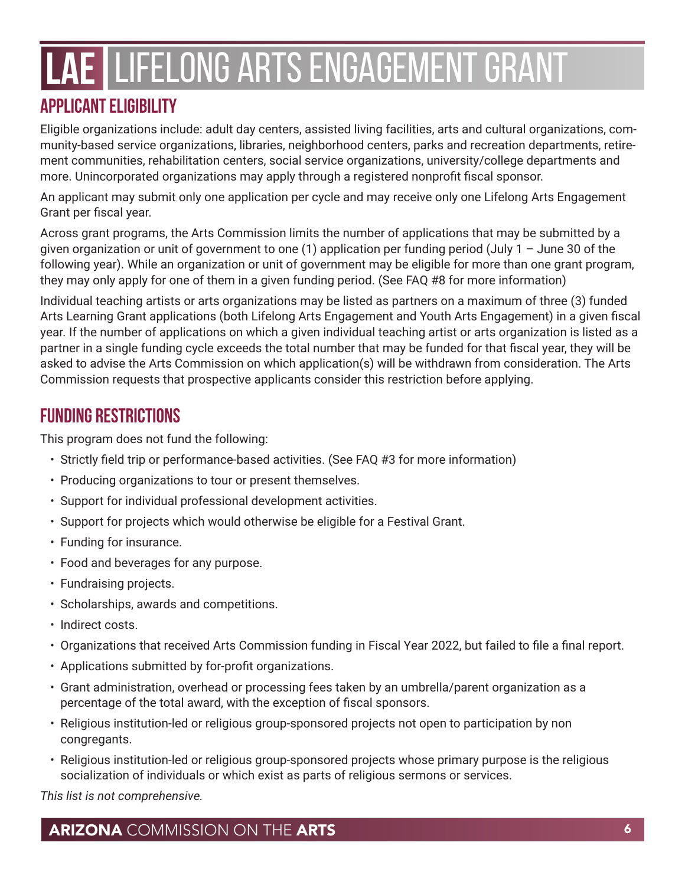## **APPLICANT ELIGIBILITY**

Eligible organizations include: adult day centers, assisted living facilities, arts and cultural organizations, community-based service organizations, libraries, neighborhood centers, parks and recreation departments, retirement communities, rehabilitation centers, social service organizations, university/college departments and more. Unincorporated organizations may apply through a registered nonprofit fiscal sponsor.

An applicant may submit only one application per cycle and may receive only one Lifelong Arts Engagement Grant per fiscal year.

Across grant programs, the Arts Commission limits the number of applications that may be submitted by a given organization or unit of government to one (1) application per funding period (July 1 – June 30 of the following year). While an organization or unit of government may be eligible for more than one grant program, they may only apply for one of them in a given funding period. (See FAQ #8 for more information)

Individual teaching artists or arts organizations may be listed as partners on a maximum of three (3) funded Arts Learning Grant applications (both Lifelong Arts Engagement and Youth Arts Engagement) in a given fiscal year. If the number of applications on which a given individual teaching artist or arts organization is listed as a partner in a single funding cycle exceeds the total number that may be funded for that fiscal year, they will be asked to advise the Arts Commission on which application(s) will be withdrawn from consideration. The Arts Commission requests that prospective applicants consider this restriction before applying.

## **FUNDING RESTRICTIONS**

This program does not fund the following:

- Strictly field trip or performance-based activities. (See FAQ #3 for more information)
- Producing organizations to tour or present themselves.
- Support for individual professional development activities.
- Support for projects which would otherwise be eligible for a Festival Grant.
- Funding for insurance.
- Food and beverages for any purpose.
- Fundraising projects.
- Scholarships, awards and competitions.
- Indirect costs.
- Organizations that received Arts Commission funding in Fiscal Year 2022, but failed to file a final report.
- Applications submitted by for-profit organizations.
- Grant administration, overhead or processing fees taken by an umbrella/parent organization as a percentage of the total award, with the exception of fiscal sponsors.
- Religious institution-led or religious group-sponsored projects not open to participation by non congregants.
- Religious institution-led or religious group-sponsored projects whose primary purpose is the religious socialization of individuals or which exist as parts of religious sermons or services.

*This list is not comprehensive.*

A**RIZONA** COMMISSION ON THE **ARTS** 66 MB **66 MB 66 MB 66 MB 66 MB 66 MB 66 MB 66 MB 66 MB 66 MB 66 MB 66 MB 66 MB 66**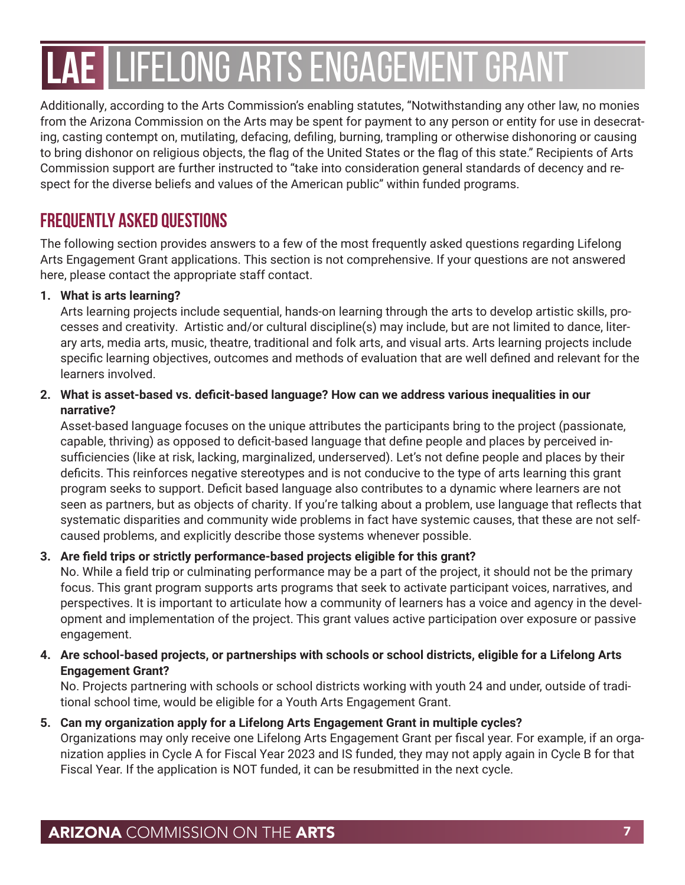Additionally, according to the Arts Commission's enabling statutes, "Notwithstanding any other law, no monies from the Arizona Commission on the Arts may be spent for payment to any person or entity for use in desecrating, casting contempt on, mutilating, defacing, defiling, burning, trampling or otherwise dishonoring or causing to bring dishonor on religious objects, the flag of the United States or the flag of this state." Recipients of Arts Commission support are further instructed to "take into consideration general standards of decency and respect for the diverse beliefs and values of the American public" within funded programs.

### **FREQUENTLY ASKED QUESTIONS**

The following section provides answers to a few of the most frequently asked questions regarding Lifelong Arts Engagement Grant applications. This section is not comprehensive. If your questions are not answered here, please contact the appropriate staff contact.

#### **1. What is arts learning?**

Arts learning projects include sequential, hands-on learning through the arts to develop artistic skills, processes and creativity. Artistic and/or cultural discipline(s) may include, but are not limited to dance, literary arts, media arts, music, theatre, traditional and folk arts, and visual arts. Arts learning projects include specific learning objectives, outcomes and methods of evaluation that are well defined and relevant for the learners involved.

#### **2. What is asset-based vs. deficit-based language? How can we address various inequalities in our narrative?**

Asset-based language focuses on the unique attributes the participants bring to the project (passionate, capable, thriving) as opposed to deficit-based language that define people and places by perceived insufficiencies (like at risk, lacking, marginalized, underserved). Let's not define people and places by their deficits. This reinforces negative stereotypes and is not conducive to the type of arts learning this grant program seeks to support. Deficit based language also contributes to a dynamic where learners are not seen as partners, but as objects of charity. If you're talking about a problem, use language that reflects that systematic disparities and community wide problems in fact have systemic causes, that these are not selfcaused problems, and explicitly describe those systems whenever possible.

#### **3. Are field trips or strictly performance-based projects eligible for this grant?**

No. While a field trip or culminating performance may be a part of the project, it should not be the primary focus. This grant program supports arts programs that seek to activate participant voices, narratives, and perspectives. It is important to articulate how a community of learners has a voice and agency in the development and implementation of the project. This grant values active participation over exposure or passive engagement.

#### **4. Are school-based projects, or partnerships with schools or school districts, eligible for a Lifelong Arts Engagement Grant?**

No. Projects partnering with schools or school districts working with youth 24 and under, outside of traditional school time, would be eligible for a Youth Arts Engagement Grant.

#### **5. Can my organization apply for a Lifelong Arts Engagement Grant in multiple cycles?** Organizations may only receive one Lifelong Arts Engagement Grant per fiscal year. For example, if an organization applies in Cycle A for Fiscal Year 2023 and IS funded, they may not apply again in Cycle B for that Fiscal Year. If the application is NOT funded, it can be resubmitted in the next cycle.